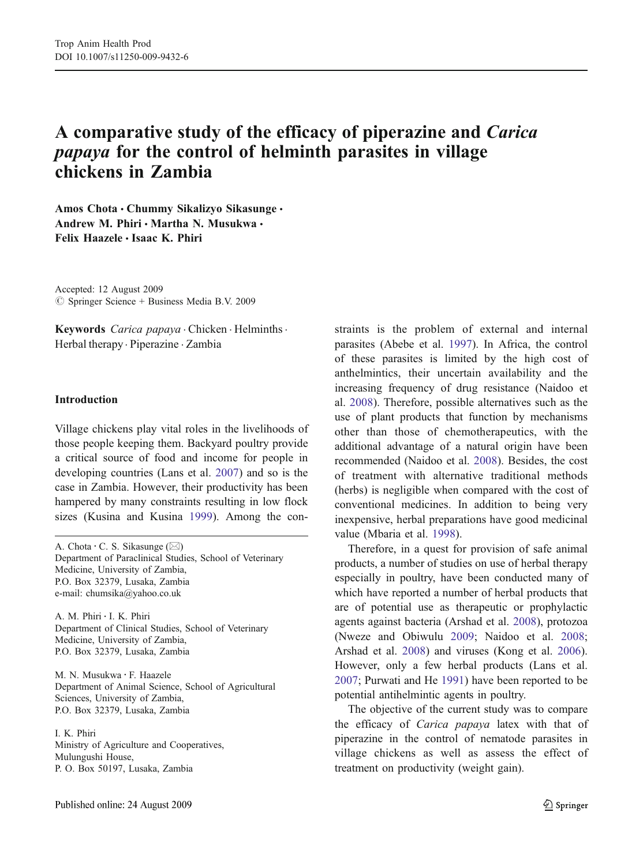# A comparative study of the efficacy of piperazine and Carica papaya for the control of helminth parasites in village chickens in Zambia

Amos Chota · Chummy Sikalizyo Sikasunge · Andrew M. Phiri · Martha N. Musukwa · Felix Haazele & Isaac K. Phiri

Accepted: 12 August 2009  $\circledcirc$  Springer Science + Business Media B.V. 2009

Keywords Carica papaya . Chicken . Helminths . Herbal therapy . Piperazine . Zambia

### Introduction

Village chickens play vital roles in the livelihoods of those people keeping them. Backyard poultry provide a critical source of food and income for people in developing countries (Lans et al. [2007](#page-3-0)) and so is the case in Zambia. However, their productivity has been hampered by many constraints resulting in low flock sizes (Kusina and Kusina [1999\)](#page-3-0). Among the con-

A. Chota : C. S. Sikasunge (*\**) Department of Paraclinical Studies, School of Veterinary Medicine, University of Zambia, P.O. Box 32379, Lusaka, Zambia e-mail: chumsika@yahoo.co.uk

A. M. Phiri : I. K. Phiri Department of Clinical Studies, School of Veterinary Medicine, University of Zambia, P.O. Box 32379, Lusaka, Zambia

M. N. Musukwa : F. Haazele Department of Animal Science, School of Agricultural Sciences, University of Zambia, P.O. Box 32379, Lusaka, Zambia

I. K. Phiri Ministry of Agriculture and Cooperatives, Mulungushi House, P. O. Box 50197, Lusaka, Zambia

straints is the problem of external and internal parasites (Abebe et al. [1997\)](#page-2-0). In Africa, the control of these parasites is limited by the high cost of anthelmintics, their uncertain availability and the increasing frequency of drug resistance (Naidoo et al. [2008\)](#page-3-0). Therefore, possible alternatives such as the use of plant products that function by mechanisms other than those of chemotherapeutics, with the additional advantage of a natural origin have been recommended (Naidoo et al. [2008](#page-3-0)). Besides, the cost of treatment with alternative traditional methods (herbs) is negligible when compared with the cost of conventional medicines. In addition to being very inexpensive, herbal preparations have good medicinal value (Mbaria et al. [1998\)](#page-3-0).

Therefore, in a quest for provision of safe animal products, a number of studies on use of herbal therapy especially in poultry, have been conducted many of which have reported a number of herbal products that are of potential use as therapeutic or prophylactic agents against bacteria (Arshad et al. [2008\)](#page-2-0), protozoa (Nweze and Obiwulu [2009;](#page-3-0) Naidoo et al. [2008;](#page-3-0) Arshad et al. [2008](#page-2-0)) and viruses (Kong et al. [2006\)](#page-2-0). However, only a few herbal products (Lans et al. [2007;](#page-3-0) Purwati and He [1991](#page-3-0)) have been reported to be potential antihelmintic agents in poultry.

The objective of the current study was to compare the efficacy of Carica papaya latex with that of piperazine in the control of nematode parasites in village chickens as well as assess the effect of treatment on productivity (weight gain).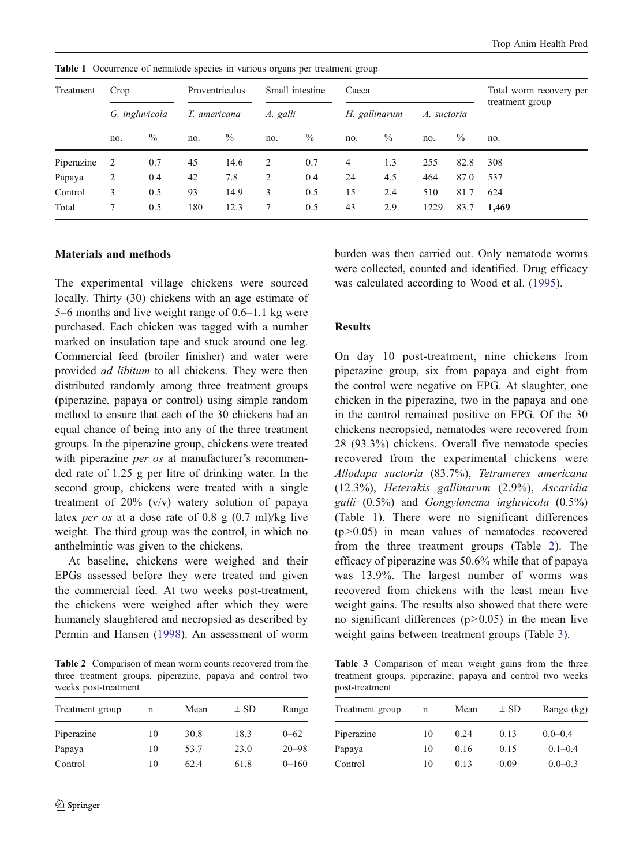Treatment Crop Proventriculus Small intestine Caeca Total worm recovery per treatment group G. ingluvicola T. americana A. galli and H. gallinarum A. suctoria no. % no. % no. % no. % no. % no. Piperazine 2 0.7 45 14.6 2 0.7 4 1.3 255 82.8 308 Papaya 2 0.4 42 7.8 2 0.4 24 4.5 464 87.0 537 Control 3 0.5 93 14.9 3 0.5 15 2.4 510 81.7 624 Total 7 0.5 180 12.3 7 0.5 43 2.9 1229 83.7 1,469

Table 1 Occurrence of nematode species in various organs per treatment group

## Materials and methods

The experimental village chickens were sourced locally. Thirty (30) chickens with an age estimate of 5–6 months and live weight range of 0.6–1.1 kg were purchased. Each chicken was tagged with a number marked on insulation tape and stuck around one leg. Commercial feed (broiler finisher) and water were provided ad libitum to all chickens. They were then distributed randomly among three treatment groups (piperazine, papaya or control) using simple random method to ensure that each of the 30 chickens had an equal chance of being into any of the three treatment groups. In the piperazine group, chickens were treated with piperazine *per os* at manufacturer's recommended rate of 1.25 g per litre of drinking water. In the second group, chickens were treated with a single treatment of 20% (v/v) watery solution of papaya latex *per os* at a dose rate of 0.8 g  $(0.7 \text{ ml})/\text{kg}$  live weight. The third group was the control, in which no anthelmintic was given to the chickens.

At baseline, chickens were weighed and their EPGs assessed before they were treated and given the commercial feed. At two weeks post-treatment, the chickens were weighed after which they were humanely slaughtered and necropsied as described by Permin and Hansen ([1998\)](#page-3-0). An assessment of worm

Table 2 Comparison of mean worm counts recovered from the three treatment groups, piperazine, papaya and control two weeks post-treatment

| Treatment group | n  | Mean | $\pm$ SD | Range     |
|-----------------|----|------|----------|-----------|
| Piperazine      | 10 | 30.8 | 18.3     | $0 - 62$  |
| Papaya          | 10 | 53.7 | 23.0     | $20 - 98$ |
| Control         | 10 | 62.4 | 61.8     | $0 - 160$ |

burden was then carried out. Only nematode worms were collected, counted and identified. Drug efficacy was calculated according to Wood et al. [\(1995](#page-3-0)).

#### Results

On day 10 post-treatment, nine chickens from piperazine group, six from papaya and eight from the control were negative on EPG. At slaughter, one chicken in the piperazine, two in the papaya and one in the control remained positive on EPG. Of the 30 chickens necropsied, nematodes were recovered from 28 (93.3%) chickens. Overall five nematode species recovered from the experimental chickens were Allodapa suctoria (83.7%), Tetrameres americana (12.3%), Heterakis gallinarum (2.9%), Ascaridia galli (0.5%) and Gongylonema ingluvicola (0.5%) (Table 1). There were no significant differences  $(p>0.05)$  in mean values of nematodes recovered from the three treatment groups (Table 2). The efficacy of piperazine was 50.6% while that of papaya was 13.9%. The largest number of worms was recovered from chickens with the least mean live weight gains. The results also showed that there were no significant differences  $(p>0.05)$  in the mean live weight gains between treatment groups (Table 3).

Table 3 Comparison of mean weight gains from the three treatment groups, piperazine, papaya and control two weeks post-treatment

| Treatment group | n  | Mean | $\pm$ SD | Range (kg)   |
|-----------------|----|------|----------|--------------|
| Piperazine      | 10 | 0.24 | 0.13     | $0.0 - 0.4$  |
| Papaya          | 10 | 0.16 | 0.15     | $-0.1 - 0.4$ |
| Control         | 10 | 0.13 | 0.09     | $-0.0-0.3$   |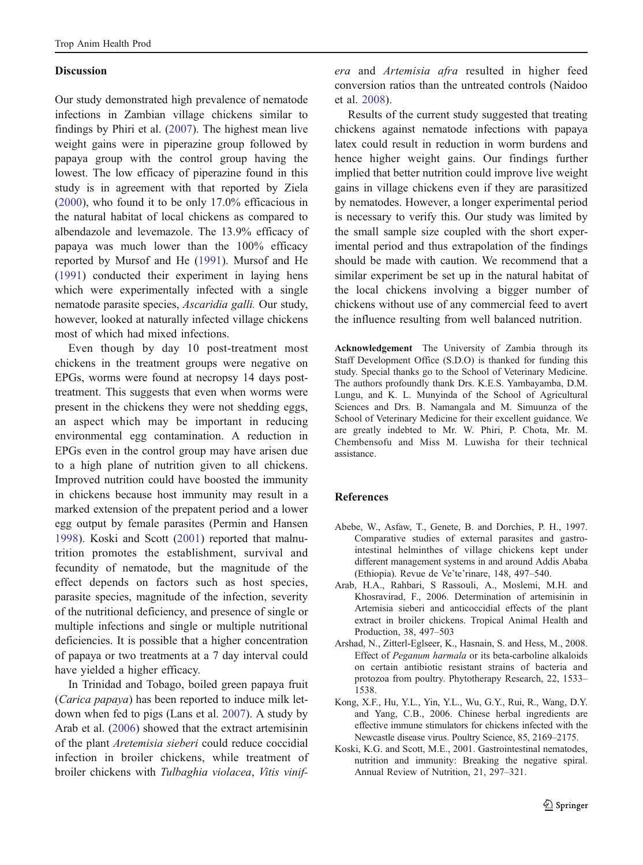#### <span id="page-2-0"></span>Discussion

Our study demonstrated high prevalence of nematode infections in Zambian village chickens similar to findings by Phiri et al. ([2007\)](#page-3-0). The highest mean live weight gains were in piperazine group followed by papaya group with the control group having the lowest. The low efficacy of piperazine found in this study is in agreement with that reported by Ziela ([2000\)](#page-3-0), who found it to be only 17.0% efficacious in the natural habitat of local chickens as compared to albendazole and levemazole. The 13.9% efficacy of papaya was much lower than the 100% efficacy reported by Mursof and He ([1991\)](#page-3-0). Mursof and He ([1991\)](#page-3-0) conducted their experiment in laying hens which were experimentally infected with a single nematode parasite species, Ascaridia galli. Our study, however, looked at naturally infected village chickens most of which had mixed infections.

Even though by day 10 post-treatment most chickens in the treatment groups were negative on EPGs, worms were found at necropsy 14 days posttreatment. This suggests that even when worms were present in the chickens they were not shedding eggs, an aspect which may be important in reducing environmental egg contamination. A reduction in EPGs even in the control group may have arisen due to a high plane of nutrition given to all chickens. Improved nutrition could have boosted the immunity in chickens because host immunity may result in a marked extension of the prepatent period and a lower egg output by female parasites (Permin and Hansen [1998\)](#page-3-0). Koski and Scott (2001) reported that malnutrition promotes the establishment, survival and fecundity of nematode, but the magnitude of the effect depends on factors such as host species, parasite species, magnitude of the infection, severity of the nutritional deficiency, and presence of single or multiple infections and single or multiple nutritional deficiencies. It is possible that a higher concentration of papaya or two treatments at a 7 day interval could have yielded a higher efficacy.

In Trinidad and Tobago, boiled green papaya fruit (Carica papaya) has been reported to induce milk letdown when fed to pigs (Lans et al. [2007](#page-3-0)). A study by Arab et al. (2006) showed that the extract artemisinin of the plant Aretemisia sieberi could reduce coccidial infection in broiler chickens, while treatment of broiler chickens with Tulbaghia violacea, Vitis vinifera and Artemisia afra resulted in higher feed conversion ratios than the untreated controls (Naidoo et al. [2008](#page-3-0)).

Results of the current study suggested that treating chickens against nematode infections with papaya latex could result in reduction in worm burdens and hence higher weight gains. Our findings further implied that better nutrition could improve live weight gains in village chickens even if they are parasitized by nematodes. However, a longer experimental period is necessary to verify this. Our study was limited by the small sample size coupled with the short experimental period and thus extrapolation of the findings should be made with caution. We recommend that a similar experiment be set up in the natural habitat of the local chickens involving a bigger number of chickens without use of any commercial feed to avert the influence resulting from well balanced nutrition.

Acknowledgement The University of Zambia through its Staff Development Office (S.D.O) is thanked for funding this study. Special thanks go to the School of Veterinary Medicine. The authors profoundly thank Drs. K.E.S. Yambayamba, D.M. Lungu, and K. L. Munyinda of the School of Agricultural Sciences and Drs. B. Namangala and M. Simuunza of the School of Veterinary Medicine for their excellent guidance. We are greatly indebted to Mr. W. Phiri, P. Chota, Mr. M. Chembensofu and Miss M. Luwisha for their technical assistance.

## References

- Abebe, W., Asfaw, T., Genete, B. and Dorchies, P. H., 1997. Comparative studies of external parasites and gastrointestinal helminthes of village chickens kept under different management systems in and around Addis Ababa (Ethiopia). Revue de Ve'te'rinare, 148, 497–540.
- Arab, H.A., Rahbari, S Rassouli, A., Moslemi, M.H. and Khosravirad, F., 2006. Determination of artemisinin in Artemisia sieberi and anticoccidial effects of the plant extract in broiler chickens. Tropical Animal Health and Production, 38, 497–503
- Arshad, N., Zitterl-Eglseer, K., Hasnain, S. and Hess, M., 2008. Effect of Peganum harmala or its beta-carboline alkaloids on certain antibiotic resistant strains of bacteria and protozoa from poultry. Phytotherapy Research, 22, 1533– 1538.
- Kong, X.F., Hu, Y.L., Yin, Y.L., Wu, G.Y., Rui, R., Wang, D.Y. and Yang, C.B., 2006. Chinese herbal ingredients are effective immune stimulators for chickens infected with the Newcastle disease virus. Poultry Science, 85, 2169–2175.
- Koski, K.G. and Scott, M.E., 2001. Gastrointestinal nematodes, nutrition and immunity: Breaking the negative spiral. Annual Review of Nutrition, 21, 297–321.